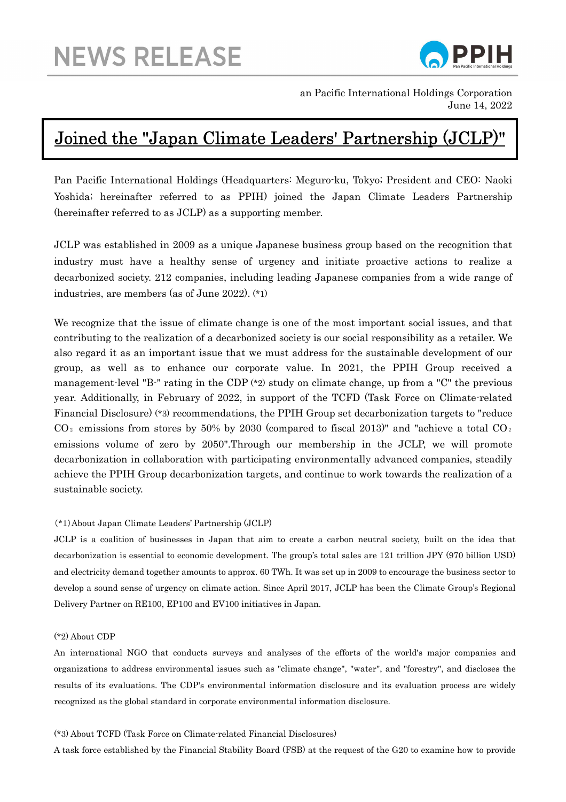

an Pacific International Holdings Corporation June 14, 2022

# Joined the "Japan Climate Leaders' Partnership (JCLP)"

Pan Pacific International Holdings (Headquarters: Meguro-ku, Tokyo; President and CEO: Naoki Yoshida; hereinafter referred to as PPIH) joined the Japan Climate Leaders Partnership (hereinafter referred to as JCLP) as a supporting member.

JCLP was established in 2009 as a unique Japanese business group based on the recognition that industry must have a healthy sense of urgency and initiate proactive actions to realize a decarbonized society. 212 companies, including leading Japanese companies from a wide range of industries, are members (as of June 2022). (\*1)

We recognize that the issue of climate change is one of the most important social issues, and that contributing to the realization of a decarbonized society is our social responsibility as a retailer. We also regard it as an important issue that we must address for the sustainable development of our group, as well as to enhance our corporate value. In 2021, the PPIH Group received a management-level "B-" rating in the CDP (\*2) study on climate change, up from a "C" the previous year. Additionally, in February of 2022, in support of the TCFD (Task Force on Climate-related Financial Disclosure) (\*3) recommendations, the PPIH Group set decarbonization targets to "reduce CO<sub>2</sub> emissions from stores by 50% by 2030 (compared to fiscal 2013)" and "achieve a total CO<sub>2</sub> emissions volume of zero by 2050".Through our membership in the JCLP, we will promote decarbonization in collaboration with participating environmentally advanced companies, steadily achieve the PPIH Group decarbonization targets, and continue to work towards the realization of a sustainable society.

#### (\*1)About Japan Climate Leaders' Partnership (JCLP)

JCLP is a coalition of businesses in Japan that aim to create a carbon neutral society, built on the idea that decarbonization is essential to economic development. The group's total sales are 121 trillion JPY (970 billion USD) and electricity demand together amounts to approx. 60 TWh. It was set up in 2009 to encourage the business sector to develop a sound sense of urgency on climate action. Since April 2017, JCLP has been the Climate Group's Regional Delivery Partner on RE100, EP100 and EV100 initiatives in Japan.

#### (\*2) About CDP

An international NGO that conducts surveys and analyses of the efforts of the world's major companies and organizations to address environmental issues such as "climate change", "water", and "forestry", and discloses the results of its evaluations. The CDP's environmental information disclosure and its evaluation process are widely recognized as the global standard in corporate environmental information disclosure.

### (\*3) About TCFD (Task Force on Climate-related Financial Disclosures)

A task force established by the Financial Stability Board (FSB) at the request of the G20 to examine how to provide